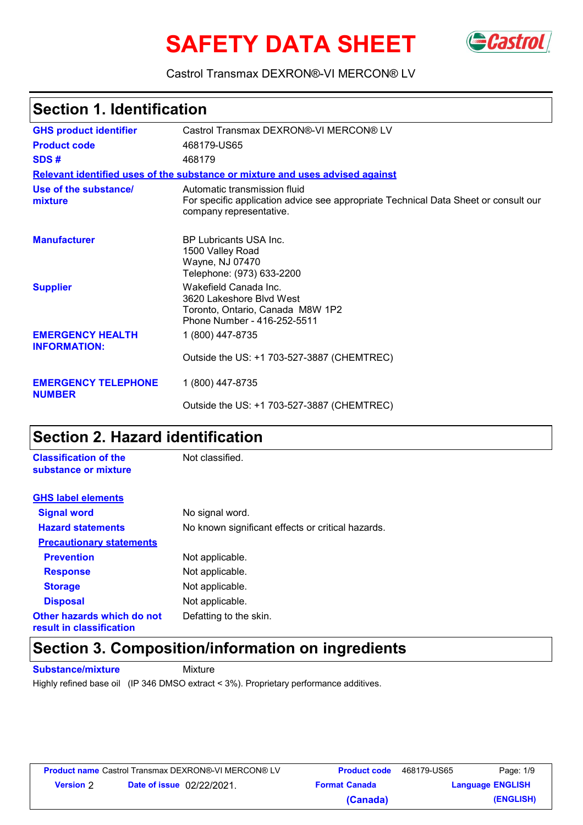# **SAFETY DATA SHEET** GCastrol



Castrol Transmax DEXRON®-VI MERCON® LV

### **Section 1. Identification**

| <b>GHS product identifier</b>                  | Castrol Transmax DEXRON®-VI MERCON® LV                                                                                                         |
|------------------------------------------------|------------------------------------------------------------------------------------------------------------------------------------------------|
| <b>Product code</b>                            | 468179-US65                                                                                                                                    |
| SDS#                                           | 468179                                                                                                                                         |
|                                                | Relevant identified uses of the substance or mixture and uses advised against                                                                  |
| Use of the substance/<br>mixture               | Automatic transmission fluid<br>For specific application advice see appropriate Technical Data Sheet or consult our<br>company representative. |
| <b>Manufacturer</b>                            | BP Lubricants USA Inc.<br>1500 Valley Road<br>Wayne, NJ 07470<br>Telephone: (973) 633-2200                                                     |
| <b>Supplier</b>                                | Wakefield Canada Inc.<br>3620 Lakeshore Blvd West<br>Toronto, Ontario, Canada M8W 1P2<br>Phone Number - 416-252-5511                           |
| <b>EMERGENCY HEALTH</b><br><b>INFORMATION:</b> | 1 (800) 447-8735                                                                                                                               |
|                                                | Outside the US: +1 703-527-3887 (CHEMTREC)                                                                                                     |
| <b>EMERGENCY TELEPHONE</b><br><b>NUMBER</b>    | 1 (800) 447-8735                                                                                                                               |
|                                                | Outside the US: +1 703-527-3887 (CHEMTREC)                                                                                                     |

### **Section 2. Hazard identification**

| <b>Classification of the</b><br>substance or mixture   | Not classified.                                   |
|--------------------------------------------------------|---------------------------------------------------|
| <b>GHS label elements</b>                              |                                                   |
| <b>Signal word</b>                                     | No signal word.                                   |
| <b>Hazard statements</b>                               | No known significant effects or critical hazards. |
| <b>Precautionary statements</b>                        |                                                   |
| <b>Prevention</b>                                      | Not applicable.                                   |
| <b>Response</b>                                        | Not applicable.                                   |
| <b>Storage</b>                                         | Not applicable.                                   |
| <b>Disposal</b>                                        | Not applicable.                                   |
| Other hazards which do not<br>result in classification | Defatting to the skin.                            |

### **Section 3. Composition/information on ingredients**

**Substance/mixture Mixture** 

Highly refined base oil (IP 346 DMSO extract < 3%). Proprietary performance additives.

| <b>Product name</b> Castrol Transmax DEXRON®-VI MERCON® LV |                                  | <b>Product code</b>  | 468179-US65 | Page: 1/9               |
|------------------------------------------------------------|----------------------------------|----------------------|-------------|-------------------------|
| <b>Version 2</b>                                           | <b>Date of issue</b> 02/22/2021. | <b>Format Canada</b> |             | <b>Language ENGLISH</b> |
|                                                            |                                  | (Canada)             |             | (ENGLISH)               |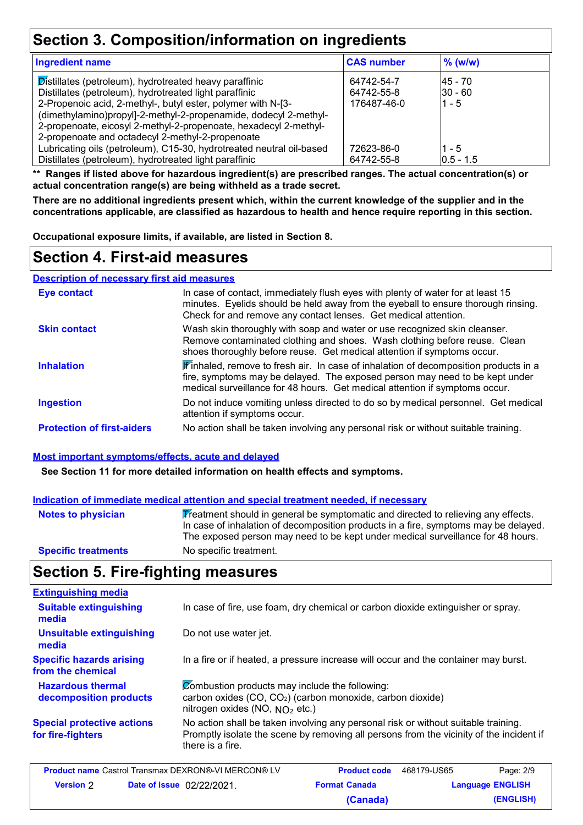# **Section 3. Composition/information on ingredients**

| <b>Ingredient name</b>                                                                                                                                                                                                                                                                                                   | <b>CAS number</b>                       | $\%$ (w/w)                        |  |
|--------------------------------------------------------------------------------------------------------------------------------------------------------------------------------------------------------------------------------------------------------------------------------------------------------------------------|-----------------------------------------|-----------------------------------|--|
| Distillates (petroleum), hydrotreated heavy paraffinic<br>Distillates (petroleum), hydrotreated light paraffinic<br>2-Propenoic acid, 2-methyl-, butyl ester, polymer with N-[3-<br>(dimethylamino)propyl]-2-methyl-2-propenamide, dodecyl 2-methyl-<br>2-propenoate, eicosyl 2-methyl-2-propenoate, hexadecyl 2-methyl- | 64742-54-7<br>64742-55-8<br>176487-46-0 | 45 - 70<br>$ 30 - 60 $<br>$1 - 5$ |  |
| 2-propenoate and octadecyl 2-methyl-2-propenoate                                                                                                                                                                                                                                                                         |                                         |                                   |  |
| Lubricating oils (petroleum), C15-30, hydrotreated neutral oil-based                                                                                                                                                                                                                                                     | 72623-86-0                              | $1 - 5$                           |  |
| Distillates (petroleum), hydrotreated light paraffinic                                                                                                                                                                                                                                                                   | 64742-55-8                              | $10.5 - 1.5$                      |  |

**\*\* Ranges if listed above for hazardous ingredient(s) are prescribed ranges. The actual concentration(s) or actual concentration range(s) are being withheld as a trade secret.**

**There are no additional ingredients present which, within the current knowledge of the supplier and in the concentrations applicable, are classified as hazardous to health and hence require reporting in this section.**

**Occupational exposure limits, if available, are listed in Section 8.**

#### **Section 4. First-aid measures**

**Description of necessary first aid measures**

| <b>Eye contact</b>                | In case of contact, immediately flush eyes with plenty of water for at least 15<br>minutes. Eyelids should be held away from the eyeball to ensure thorough rinsing.<br>Check for and remove any contact lenses. Get medical attention.           |
|-----------------------------------|---------------------------------------------------------------------------------------------------------------------------------------------------------------------------------------------------------------------------------------------------|
| <b>Skin contact</b>               | Wash skin thoroughly with soap and water or use recognized skin cleanser.<br>Remove contaminated clothing and shoes. Wash clothing before reuse. Clean<br>shoes thoroughly before reuse. Get medical attention if symptoms occur.                 |
| <b>Inhalation</b>                 | Finhaled, remove to fresh air. In case of inhalation of decomposition products in a<br>fire, symptoms may be delayed. The exposed person may need to be kept under<br>medical surveillance for 48 hours. Get medical attention if symptoms occur. |
| <b>Ingestion</b>                  | Do not induce vomiting unless directed to do so by medical personnel. Get medical<br>attention if symptoms occur.                                                                                                                                 |
| <b>Protection of first-aiders</b> | No action shall be taken involving any personal risk or without suitable training.                                                                                                                                                                |

#### **Most important symptoms/effects, acute and delayed**

**See Section 11 for more detailed information on health effects and symptoms.**

| Indication of immediate medical attention and special treatment needed, if necessary |                                                                                                                                                                                                                                                             |  |
|--------------------------------------------------------------------------------------|-------------------------------------------------------------------------------------------------------------------------------------------------------------------------------------------------------------------------------------------------------------|--|
| <b>Notes to physician</b>                                                            | Treatment should in general be symptomatic and directed to relieving any effects.<br>In case of inhalation of decomposition products in a fire, symptoms may be delayed.<br>The exposed person may need to be kept under medical surveillance for 48 hours. |  |
| <b>Specific treatments</b>                                                           | No specific treatment.                                                                                                                                                                                                                                      |  |

### **Section 5. Fire-fighting measures**

| In case of fire, use foam, dry chemical or carbon dioxide extinguisher or spray.                                                                                                                  |
|---------------------------------------------------------------------------------------------------------------------------------------------------------------------------------------------------|
| Do not use water jet.                                                                                                                                                                             |
| In a fire or if heated, a pressure increase will occur and the container may burst.                                                                                                               |
| Combustion products may include the following:<br>carbon oxides (CO, CO <sub>2</sub> ) (carbon monoxide, carbon dioxide)<br>nitrogen oxides (NO, $NO2$ etc.)                                      |
| No action shall be taken involving any personal risk or without suitable training.<br>Promptly isolate the scene by removing all persons from the vicinity of the incident if<br>there is a fire. |
|                                                                                                                                                                                                   |

| <b>Product name</b> Castrol Transmax DEXRON®-VI MERCON® LV |                                  | <b>Product code</b>  | 468179-US65             | Page: 2/9 |
|------------------------------------------------------------|----------------------------------|----------------------|-------------------------|-----------|
| <b>Version</b> 2                                           | <b>Date of issue</b> 02/22/2021. | <b>Format Canada</b> | <b>Language ENGLISH</b> |           |
|                                                            |                                  | (Canada)             |                         | (ENGLISH) |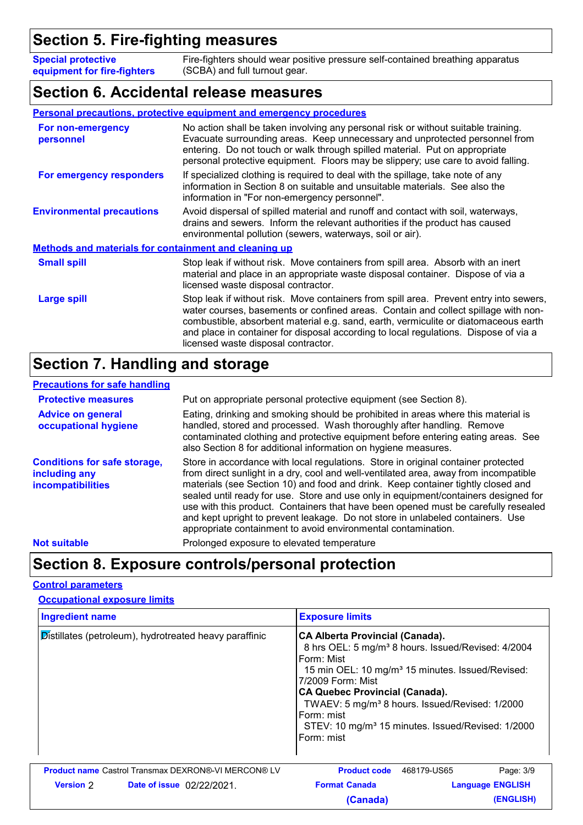### **Section 5. Fire-fighting measures**

**Special protective equipment for fire-fighters** Fire-fighters should wear positive pressure self-contained breathing apparatus (SCBA) and full turnout gear.

#### **Section 6. Accidental release measures**

#### **Personal precautions, protective equipment and emergency procedures**

| For non-emergency<br>personnel                               | No action shall be taken involving any personal risk or without suitable training.<br>Evacuate surrounding areas. Keep unnecessary and unprotected personnel from<br>entering. Do not touch or walk through spilled material. Put on appropriate<br>personal protective equipment. Floors may be slippery; use care to avoid falling.                                                              |  |
|--------------------------------------------------------------|----------------------------------------------------------------------------------------------------------------------------------------------------------------------------------------------------------------------------------------------------------------------------------------------------------------------------------------------------------------------------------------------------|--|
| For emergency responders                                     | If specialized clothing is required to deal with the spillage, take note of any<br>information in Section 8 on suitable and unsuitable materials. See also the<br>information in "For non-emergency personnel".                                                                                                                                                                                    |  |
| <b>Environmental precautions</b>                             | Avoid dispersal of spilled material and runoff and contact with soil, waterways,<br>drains and sewers. Inform the relevant authorities if the product has caused<br>environmental pollution (sewers, waterways, soil or air).                                                                                                                                                                      |  |
| <b>Methods and materials for containment and cleaning up</b> |                                                                                                                                                                                                                                                                                                                                                                                                    |  |
| <b>Small spill</b>                                           | Stop leak if without risk. Move containers from spill area. Absorb with an inert<br>material and place in an appropriate waste disposal container. Dispose of via a<br>licensed waste disposal contractor.                                                                                                                                                                                         |  |
| <b>Large spill</b>                                           | Stop leak if without risk. Move containers from spill area. Prevent entry into sewers,<br>water courses, basements or confined areas. Contain and collect spillage with non-<br>combustible, absorbent material e.g. sand, earth, vermiculite or diatomaceous earth<br>and place in container for disposal according to local regulations. Dispose of via a<br>licensed waste disposal contractor. |  |

### **Section 7. Handling and storage**

#### **Precautions for safe handling**

| <b>Protective measures</b>                                                | Put on appropriate personal protective equipment (see Section 8).                                                                                                                                                                                                                                                                                                                                                                                                                                                                                                                             |
|---------------------------------------------------------------------------|-----------------------------------------------------------------------------------------------------------------------------------------------------------------------------------------------------------------------------------------------------------------------------------------------------------------------------------------------------------------------------------------------------------------------------------------------------------------------------------------------------------------------------------------------------------------------------------------------|
| <b>Advice on general</b><br>occupational hygiene                          | Eating, drinking and smoking should be prohibited in areas where this material is<br>handled, stored and processed. Wash thoroughly after handling. Remove<br>contaminated clothing and protective equipment before entering eating areas. See<br>also Section 8 for additional information on hygiene measures.                                                                                                                                                                                                                                                                              |
| <b>Conditions for safe storage,</b><br>including any<br>incompatibilities | Store in accordance with local regulations. Store in original container protected<br>from direct sunlight in a dry, cool and well-ventilated area, away from incompatible<br>materials (see Section 10) and food and drink. Keep container tightly closed and<br>sealed until ready for use. Store and use only in equipment/containers designed for<br>use with this product. Containers that have been opened must be carefully resealed<br>and kept upright to prevent leakage. Do not store in unlabeled containers. Use<br>appropriate containment to avoid environmental contamination. |
| <b>Not suitable</b>                                                       | Prolonged exposure to elevated temperature                                                                                                                                                                                                                                                                                                                                                                                                                                                                                                                                                    |

#### **Section 8. Exposure controls/personal protection**

#### **Control parameters**

#### **Occupational exposure limits**

| <b>Ingredient name</b> |                                                            | <b>Exposure limits</b>                                                                                                                                                                                                                                                                                                                                                                                          |             |                         |
|------------------------|------------------------------------------------------------|-----------------------------------------------------------------------------------------------------------------------------------------------------------------------------------------------------------------------------------------------------------------------------------------------------------------------------------------------------------------------------------------------------------------|-------------|-------------------------|
|                        | Distillates (petroleum), hydrotreated heavy paraffinic     | <b>CA Alberta Provincial (Canada).</b><br>8 hrs OEL: 5 mg/m <sup>3</sup> 8 hours. Issued/Revised: 4/2004<br>Form: Mist<br>15 min OEL: 10 mg/m <sup>3</sup> 15 minutes. Issued/Revised:<br>7/2009 Form: Mist<br><b>CA Quebec Provincial (Canada).</b><br>TWAEV: 5 mg/m <sup>3</sup> 8 hours. Issued/Revised: 1/2000<br>Form: mist<br>STEV: 10 mg/m <sup>3</sup> 15 minutes. Issued/Revised: 1/2000<br>Form: mist |             |                         |
|                        | <b>Product name Castrol Transmax DEXRON®-VI MERCON® LV</b> | <b>Product code</b>                                                                                                                                                                                                                                                                                                                                                                                             | 468179-US65 | Page: 3/9               |
| <b>Version</b> 2       | <b>Date of issue</b> 02/22/2021                            | <b>Format Canada</b>                                                                                                                                                                                                                                                                                                                                                                                            |             | <b>Language ENGLISH</b> |
|                        |                                                            | (Canada)                                                                                                                                                                                                                                                                                                                                                                                                        |             | (ENGLISH)               |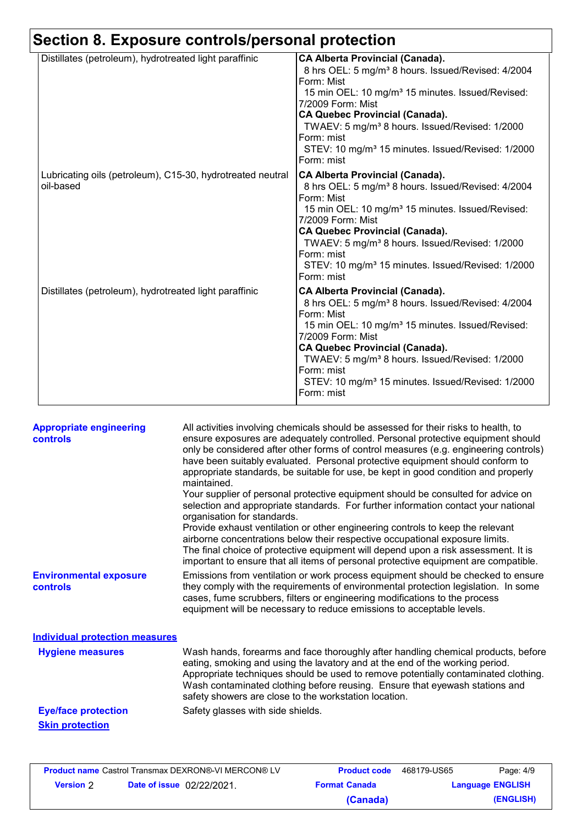| Section 8. Exposure controls/personal protection                        |                                                                                                                                                                                                                                                                                                                                                                                                                 |  |  |
|-------------------------------------------------------------------------|-----------------------------------------------------------------------------------------------------------------------------------------------------------------------------------------------------------------------------------------------------------------------------------------------------------------------------------------------------------------------------------------------------------------|--|--|
| Distillates (petroleum), hydrotreated light paraffinic                  | <b>CA Alberta Provincial (Canada).</b><br>8 hrs OEL: 5 mg/m <sup>3</sup> 8 hours. Issued/Revised: 4/2004<br>Form: Mist<br>15 min OEL: 10 mg/m <sup>3</sup> 15 minutes. Issued/Revised:<br>7/2009 Form: Mist<br><b>CA Quebec Provincial (Canada).</b><br>TWAEV: 5 mg/m <sup>3</sup> 8 hours. Issued/Revised: 1/2000<br>Form: mist<br>STEV: 10 mg/m <sup>3</sup> 15 minutes. Issued/Revised: 1/2000<br>Form: mist |  |  |
| Lubricating oils (petroleum), C15-30, hydrotreated neutral<br>oil-based | <b>CA Alberta Provincial (Canada).</b><br>8 hrs OEL: 5 mg/m <sup>3</sup> 8 hours. Issued/Revised: 4/2004<br>Form: Mist<br>15 min OEL: 10 mg/m <sup>3</sup> 15 minutes. Issued/Revised:<br>7/2009 Form: Mist<br><b>CA Quebec Provincial (Canada).</b><br>TWAEV: 5 mg/m <sup>3</sup> 8 hours. Issued/Revised: 1/2000<br>Form: mist<br>STEV: 10 mg/m <sup>3</sup> 15 minutes. Issued/Revised: 1/2000<br>Form: mist |  |  |
| Distillates (petroleum), hydrotreated light paraffinic                  | <b>CA Alberta Provincial (Canada).</b><br>8 hrs OEL: 5 mg/m <sup>3</sup> 8 hours. Issued/Revised: 4/2004<br>Form: Mist<br>15 min OEL: 10 mg/m <sup>3</sup> 15 minutes. Issued/Revised:<br>7/2009 Form: Mist<br><b>CA Quebec Provincial (Canada).</b><br>TWAEV: 5 mg/m <sup>3</sup> 8 hours. Issued/Revised: 1/2000<br>Form: mist<br>STEV: 10 mg/m <sup>3</sup> 15 minutes. Issued/Revised: 1/2000<br>Form: mist |  |  |

| <b>Appropriate engineering</b><br><b>controls</b> | All activities involving chemicals should be assessed for their risks to health, to<br>ensure exposures are adequately controlled. Personal protective equipment should<br>only be considered after other forms of control measures (e.g. engineering controls)<br>have been suitably evaluated. Personal protective equipment should conform to<br>appropriate standards, be suitable for use, be kept in good condition and properly<br>maintained.<br>Your supplier of personal protective equipment should be consulted for advice on<br>selection and appropriate standards. For further information contact your national<br>organisation for standards.<br>Provide exhaust ventilation or other engineering controls to keep the relevant<br>airborne concentrations below their respective occupational exposure limits.<br>The final choice of protective equipment will depend upon a risk assessment. It is<br>important to ensure that all items of personal protective equipment are compatible. |
|---------------------------------------------------|---------------------------------------------------------------------------------------------------------------------------------------------------------------------------------------------------------------------------------------------------------------------------------------------------------------------------------------------------------------------------------------------------------------------------------------------------------------------------------------------------------------------------------------------------------------------------------------------------------------------------------------------------------------------------------------------------------------------------------------------------------------------------------------------------------------------------------------------------------------------------------------------------------------------------------------------------------------------------------------------------------------|
| <b>Environmental exposure</b><br>controls         | Emissions from ventilation or work process equipment should be checked to ensure<br>they comply with the requirements of environmental protection legislation. In some<br>cases, fume scrubbers, filters or engineering modifications to the process<br>equipment will be necessary to reduce emissions to acceptable levels.                                                                                                                                                                                                                                                                                                                                                                                                                                                                                                                                                                                                                                                                                 |
| <b>Individual protection measures</b>             |                                                                                                                                                                                                                                                                                                                                                                                                                                                                                                                                                                                                                                                                                                                                                                                                                                                                                                                                                                                                               |
| <b>Hygiene measures</b>                           | Wash hands, forearms and face thoroughly after handling chemical products, before<br>eating, smoking and using the lavatory and at the end of the working period.<br>Appropriate techniques should be used to remove potentially contaminated clothing.<br>Wash contaminated clothing before reusing. Ensure that eyewash stations and<br>safety showers are close to the workstation location.                                                                                                                                                                                                                                                                                                                                                                                                                                                                                                                                                                                                               |
| <b>Eye/face protection</b>                        | Safety glasses with side shields.                                                                                                                                                                                                                                                                                                                                                                                                                                                                                                                                                                                                                                                                                                                                                                                                                                                                                                                                                                             |
| <b>Skin protection</b>                            |                                                                                                                                                                                                                                                                                                                                                                                                                                                                                                                                                                                                                                                                                                                                                                                                                                                                                                                                                                                                               |

| <b>Product name Castrol Transmax DEXRON®-VI MERCON® LV</b> |                                  | <b>Product code</b>  | 468179-US65 | Page: 4/9               |
|------------------------------------------------------------|----------------------------------|----------------------|-------------|-------------------------|
| <b>Version</b> 2                                           | <b>Date of issue</b> 02/22/2021. | <b>Format Canada</b> |             | <b>Language ENGLISH</b> |
|                                                            |                                  | (Canada)             |             | (ENGLISH)               |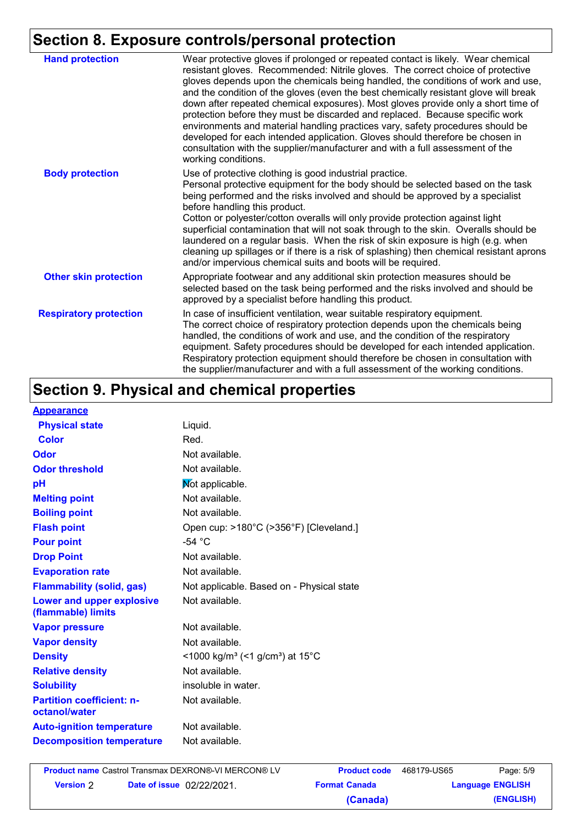### **Section 8. Exposure controls/personal protection**

| <b>Hand protection</b>        | Wear protective gloves if prolonged or repeated contact is likely. Wear chemical<br>resistant gloves. Recommended: Nitrile gloves. The correct choice of protective<br>gloves depends upon the chemicals being handled, the conditions of work and use,<br>and the condition of the gloves (even the best chemically resistant glove will break<br>down after repeated chemical exposures). Most gloves provide only a short time of<br>protection before they must be discarded and replaced. Because specific work<br>environments and material handling practices vary, safety procedures should be<br>developed for each intended application. Gloves should therefore be chosen in<br>consultation with the supplier/manufacturer and with a full assessment of the<br>working conditions. |
|-------------------------------|-------------------------------------------------------------------------------------------------------------------------------------------------------------------------------------------------------------------------------------------------------------------------------------------------------------------------------------------------------------------------------------------------------------------------------------------------------------------------------------------------------------------------------------------------------------------------------------------------------------------------------------------------------------------------------------------------------------------------------------------------------------------------------------------------|
| <b>Body protection</b>        | Use of protective clothing is good industrial practice.<br>Personal protective equipment for the body should be selected based on the task<br>being performed and the risks involved and should be approved by a specialist<br>before handling this product.<br>Cotton or polyester/cotton overalls will only provide protection against light<br>superficial contamination that will not soak through to the skin. Overalls should be<br>laundered on a regular basis. When the risk of skin exposure is high (e.g. when<br>cleaning up spillages or if there is a risk of splashing) then chemical resistant aprons<br>and/or impervious chemical suits and boots will be required.                                                                                                           |
| <b>Other skin protection</b>  | Appropriate footwear and any additional skin protection measures should be<br>selected based on the task being performed and the risks involved and should be<br>approved by a specialist before handling this product.                                                                                                                                                                                                                                                                                                                                                                                                                                                                                                                                                                         |
| <b>Respiratory protection</b> | In case of insufficient ventilation, wear suitable respiratory equipment.<br>The correct choice of respiratory protection depends upon the chemicals being<br>handled, the conditions of work and use, and the condition of the respiratory<br>equipment. Safety procedures should be developed for each intended application.<br>Respiratory protection equipment should therefore be chosen in consultation with<br>the supplier/manufacturer and with a full assessment of the working conditions.                                                                                                                                                                                                                                                                                           |

# **Section 9. Physical and chemical properties**

| <b>Appearance</b>                                      |                                                         |
|--------------------------------------------------------|---------------------------------------------------------|
| <b>Physical state</b>                                  | Liquid.                                                 |
| <b>Color</b>                                           | Red.                                                    |
| Odor                                                   | Not available.                                          |
| <b>Odor threshold</b>                                  | Not available.                                          |
| pH                                                     | Mot applicable.                                         |
| <b>Melting point</b>                                   | Not available.                                          |
| <b>Boiling point</b>                                   | Not available.                                          |
| <b>Flash point</b>                                     | Open cup: >180°C (>356°F) [Cleveland.]                  |
| <b>Pour point</b>                                      | $-54 °C$                                                |
| <b>Drop Point</b>                                      | Not available.                                          |
| <b>Evaporation rate</b>                                | Not available.                                          |
| <b>Flammability (solid, gas)</b>                       | Not applicable. Based on - Physical state               |
| <b>Lower and upper explosive</b><br>(flammable) limits | Not available.                                          |
| <b>Vapor pressure</b>                                  | Not available.                                          |
| <b>Vapor density</b>                                   | Not available.                                          |
| <b>Density</b>                                         | <1000 kg/m <sup>3</sup> (<1 g/cm <sup>3</sup> ) at 15°C |
| <b>Relative density</b>                                | Not available.                                          |
| <b>Solubility</b>                                      | insoluble in water.                                     |
| <b>Partition coefficient: n-</b><br>octanol/water      | Not available.                                          |
| <b>Auto-ignition temperature</b>                       | Not available.                                          |
| <b>Decomposition temperature</b>                       | Not available.                                          |

**Version Date of issue** 2 02/22/2021.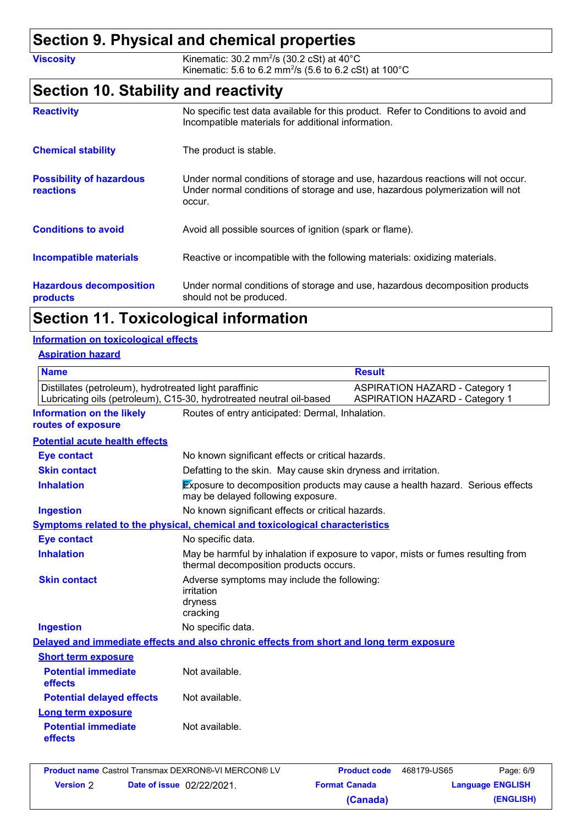### **Section 9. Physical and chemical properties**

**Viscosity Kinematic: 30.2 mm<sup>2</sup>/s (30.2 cSt) at 40°C** Kinematic: 5.6 to 6.2 mm<sup>2</sup>/s (5.6 to 6.2 cSt) at 100 $^{\circ}$ C

### **Section 10. Stability and reactivity**

| <b>Reactivity</b>                            | No specific test data available for this product. Refer to Conditions to avoid and<br>Incompatible materials for additional information.                                   |
|----------------------------------------------|----------------------------------------------------------------------------------------------------------------------------------------------------------------------------|
| <b>Chemical stability</b>                    | The product is stable.                                                                                                                                                     |
| <b>Possibility of hazardous</b><br>reactions | Under normal conditions of storage and use, hazardous reactions will not occur.<br>Under normal conditions of storage and use, hazardous polymerization will not<br>occur. |
| <b>Conditions to avoid</b>                   | Avoid all possible sources of ignition (spark or flame).                                                                                                                   |
| <b>Incompatible materials</b>                | Reactive or incompatible with the following materials: oxidizing materials.                                                                                                |
| <b>Hazardous decomposition</b><br>products   | Under normal conditions of storage and use, hazardous decomposition products<br>should not be produced.                                                                    |

### **Section 11. Toxicological information**

#### **Information on toxicological effects**

#### **Aspiration hazard**

| <b>Name</b>                                                                                                                    |                                                                                                                            | <b>Result</b>                                                                  |  |
|--------------------------------------------------------------------------------------------------------------------------------|----------------------------------------------------------------------------------------------------------------------------|--------------------------------------------------------------------------------|--|
| Distillates (petroleum), hydrotreated light paraffinic<br>Lubricating oils (petroleum), C15-30, hydrotreated neutral oil-based |                                                                                                                            | <b>ASPIRATION HAZARD - Category 1</b><br><b>ASPIRATION HAZARD - Category 1</b> |  |
| <b>Information on the likely</b><br>routes of exposure                                                                         | Routes of entry anticipated: Dermal, Inhalation.                                                                           |                                                                                |  |
| <b>Potential acute health effects</b>                                                                                          |                                                                                                                            |                                                                                |  |
| <b>Eye contact</b>                                                                                                             | No known significant effects or critical hazards.                                                                          |                                                                                |  |
| <b>Skin contact</b>                                                                                                            | Defatting to the skin. May cause skin dryness and irritation.                                                              |                                                                                |  |
| <b>Inhalation</b>                                                                                                              | <b>Exposure to decomposition products may cause a health hazard. Serious effects</b><br>may be delayed following exposure. |                                                                                |  |
| <b>Ingestion</b>                                                                                                               | No known significant effects or critical hazards.                                                                          |                                                                                |  |
|                                                                                                                                | Symptoms related to the physical, chemical and toxicological characteristics                                               |                                                                                |  |
| <b>Eye contact</b>                                                                                                             | No specific data.                                                                                                          |                                                                                |  |
| <b>Inhalation</b>                                                                                                              | May be harmful by inhalation if exposure to vapor, mists or fumes resulting from<br>thermal decomposition products occurs. |                                                                                |  |
| <b>Skin contact</b>                                                                                                            | Adverse symptoms may include the following:<br>irritation<br>dryness<br>cracking                                           |                                                                                |  |
| <b>Ingestion</b>                                                                                                               | No specific data.                                                                                                          |                                                                                |  |
|                                                                                                                                | Delayed and immediate effects and also chronic effects from short and long term exposure                                   |                                                                                |  |
| <b>Short term exposure</b>                                                                                                     |                                                                                                                            |                                                                                |  |
| <b>Potential immediate</b><br>effects                                                                                          | Not available.                                                                                                             |                                                                                |  |
| <b>Potential delayed effects</b>                                                                                               | Not available.                                                                                                             |                                                                                |  |
| <b>Long term exposure</b>                                                                                                      |                                                                                                                            |                                                                                |  |
| <b>Potential immediate</b><br>effects                                                                                          | Not available.                                                                                                             |                                                                                |  |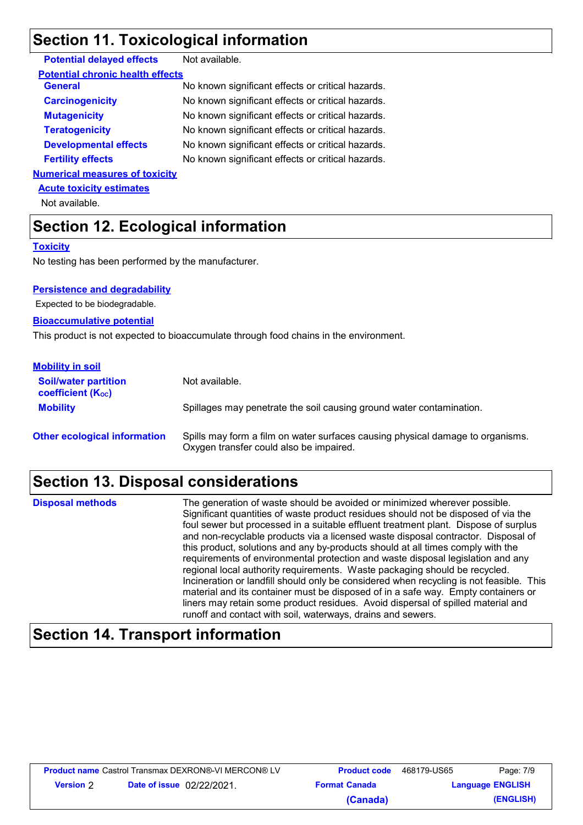### **Section 11. Toxicological information**

| <b>Potential delayed effects</b> | Not available. |
|----------------------------------|----------------|
|----------------------------------|----------------|

| <b>Carcinogenicity</b><br>No known significant effects or critical hazards.<br>No known significant effects or critical hazards.<br><b>Mutagenicity</b><br><b>Teratogenicity</b><br>No known significant effects or critical hazards.<br><b>Developmental effects</b><br>No known significant effects or critical hazards.<br><b>Fertility effects</b><br>No known significant effects or critical hazards.<br><b>Numerical measures of toxicity</b> | <b>General</b> | No known significant effects or critical hazards. |
|------------------------------------------------------------------------------------------------------------------------------------------------------------------------------------------------------------------------------------------------------------------------------------------------------------------------------------------------------------------------------------------------------------------------------------------------------|----------------|---------------------------------------------------|
|                                                                                                                                                                                                                                                                                                                                                                                                                                                      |                |                                                   |
|                                                                                                                                                                                                                                                                                                                                                                                                                                                      |                |                                                   |
|                                                                                                                                                                                                                                                                                                                                                                                                                                                      |                |                                                   |
|                                                                                                                                                                                                                                                                                                                                                                                                                                                      |                |                                                   |
|                                                                                                                                                                                                                                                                                                                                                                                                                                                      |                |                                                   |
|                                                                                                                                                                                                                                                                                                                                                                                                                                                      |                |                                                   |

**Acute toxicity estimates**

Not available.

# **Section 12. Ecological information**

#### **Toxicity**

No testing has been performed by the manufacturer.

#### **Persistence and degradability**

Expected to be biodegradable.

#### **Bioaccumulative potential**

This product is not expected to bioaccumulate through food chains in the environment.

| <b>Mobility in soil</b>                                 |                                                                                                                           |
|---------------------------------------------------------|---------------------------------------------------------------------------------------------------------------------------|
| <b>Soil/water partition</b><br><b>coefficient (Koc)</b> | Not available.                                                                                                            |
| <b>Mobility</b>                                         | Spillages may penetrate the soil causing ground water contamination.                                                      |
| <b>Other ecological information</b>                     | Spills may form a film on water surfaces causing physical damage to organisms.<br>Oxygen transfer could also be impaired. |

# **Section 13. Disposal considerations**

| <b>Disposal methods</b> | The generation of waste should be avoided or minimized wherever possible.<br>Significant quantities of waste product residues should not be disposed of via the<br>foul sewer but processed in a suitable effluent treatment plant. Dispose of surplus<br>and non-recyclable products via a licensed waste disposal contractor. Disposal of<br>this product, solutions and any by-products should at all times comply with the<br>requirements of environmental protection and waste disposal legislation and any<br>regional local authority requirements. Waste packaging should be recycled.<br>Incineration or landfill should only be considered when recycling is not feasible. This<br>material and its container must be disposed of in a safe way. Empty containers or<br>liners may retain some product residues. Avoid dispersal of spilled material and |
|-------------------------|---------------------------------------------------------------------------------------------------------------------------------------------------------------------------------------------------------------------------------------------------------------------------------------------------------------------------------------------------------------------------------------------------------------------------------------------------------------------------------------------------------------------------------------------------------------------------------------------------------------------------------------------------------------------------------------------------------------------------------------------------------------------------------------------------------------------------------------------------------------------|
|                         | runoff and contact with soil, waterways, drains and sewers.                                                                                                                                                                                                                                                                                                                                                                                                                                                                                                                                                                                                                                                                                                                                                                                                         |

# **Section 14. Transport information**

| <b>Product name</b> Castrol Transmax DEXRON®-VI MERCON® LV |                                  | <b>Product code</b>  | 468179-US65 | Page: 7/9               |
|------------------------------------------------------------|----------------------------------|----------------------|-------------|-------------------------|
| <b>Version 2</b>                                           | <b>Date of issue</b> 02/22/2021. | <b>Format Canada</b> |             | <b>Language ENGLISH</b> |
|                                                            |                                  | (Canada)             |             | (ENGLISH)               |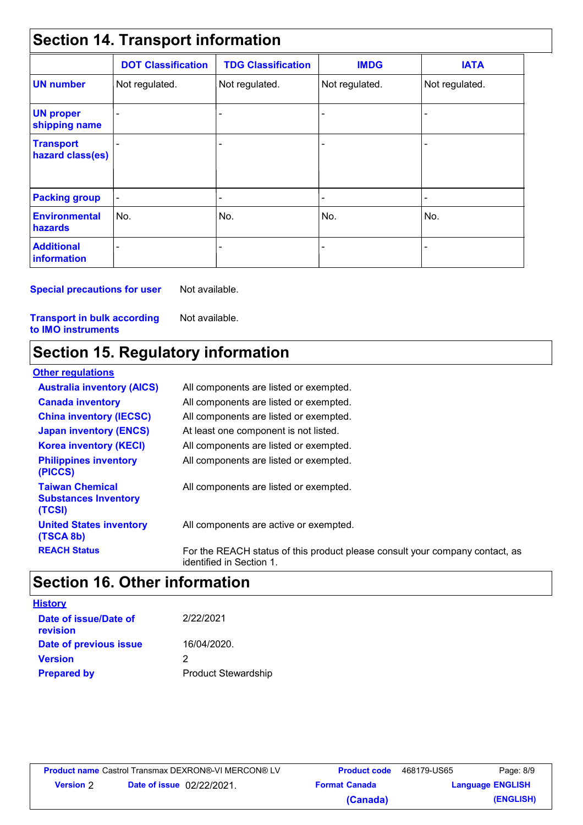| <b>Section 14. Transport information</b> |                           |                           |                |                          |  |  |
|------------------------------------------|---------------------------|---------------------------|----------------|--------------------------|--|--|
|                                          | <b>DOT Classification</b> | <b>TDG Classification</b> | <b>IMDG</b>    | <b>IATA</b>              |  |  |
| <b>UN number</b>                         | Not regulated.            | Not regulated.            | Not regulated. | Not regulated.           |  |  |
| <b>UN proper</b><br>shipping name        |                           |                           |                | ٠                        |  |  |
| <b>Transport</b><br>hazard class(es)     |                           |                           |                |                          |  |  |
| <b>Packing group</b>                     | $\overline{\phantom{0}}$  |                           |                | $\overline{\phantom{a}}$ |  |  |
| <b>Environmental</b><br>hazards          | No.                       | No.                       | No.            | No.                      |  |  |
| <b>Additional</b><br>information         |                           |                           |                |                          |  |  |

**Special precautions for user**

Not available.

**Transport in bulk according to IMO instruments**

Not available.

## **Section 15. Regulatory information**

| <b>Other regulations</b>                                        |                                                                                                          |
|-----------------------------------------------------------------|----------------------------------------------------------------------------------------------------------|
| <b>Australia inventory (AICS)</b>                               | All components are listed or exempted.                                                                   |
| <b>Canada inventory</b>                                         | All components are listed or exempted.                                                                   |
| <b>China inventory (IECSC)</b>                                  | All components are listed or exempted.                                                                   |
| <b>Japan inventory (ENCS)</b>                                   | At least one component is not listed.                                                                    |
| <b>Korea inventory (KECI)</b>                                   | All components are listed or exempted.                                                                   |
| <b>Philippines inventory</b><br>(PICCS)                         | All components are listed or exempted.                                                                   |
| <b>Taiwan Chemical</b><br><b>Substances Inventory</b><br>(TCSI) | All components are listed or exempted.                                                                   |
| <b>United States inventory</b><br>(TSCA 8b)                     | All components are active or exempted.                                                                   |
| <b>REACH Status</b>                                             | For the REACH status of this product please consult your company contact, as<br>identified in Section 1. |

# **Section 16. Other information**

| <b>History</b>                    |                            |
|-----------------------------------|----------------------------|
| Date of issue/Date of<br>revision | 2/22/2021                  |
| Date of previous issue            | 16/04/2020.                |
| <b>Version</b>                    | 2                          |
| <b>Prepared by</b>                | <b>Product Stewardship</b> |

| <b>Product name</b> Castrol Transmax DEXRON®-VI MERCON® LV |                                  | <b>Product code</b>  | 468179-US65             | Page: 8/9 |
|------------------------------------------------------------|----------------------------------|----------------------|-------------------------|-----------|
| <b>Version</b> 2                                           | <b>Date of issue</b> 02/22/2021. | <b>Format Canada</b> | <b>Language ENGLISH</b> |           |
|                                                            |                                  | (Canada)             |                         | (ENGLISH) |